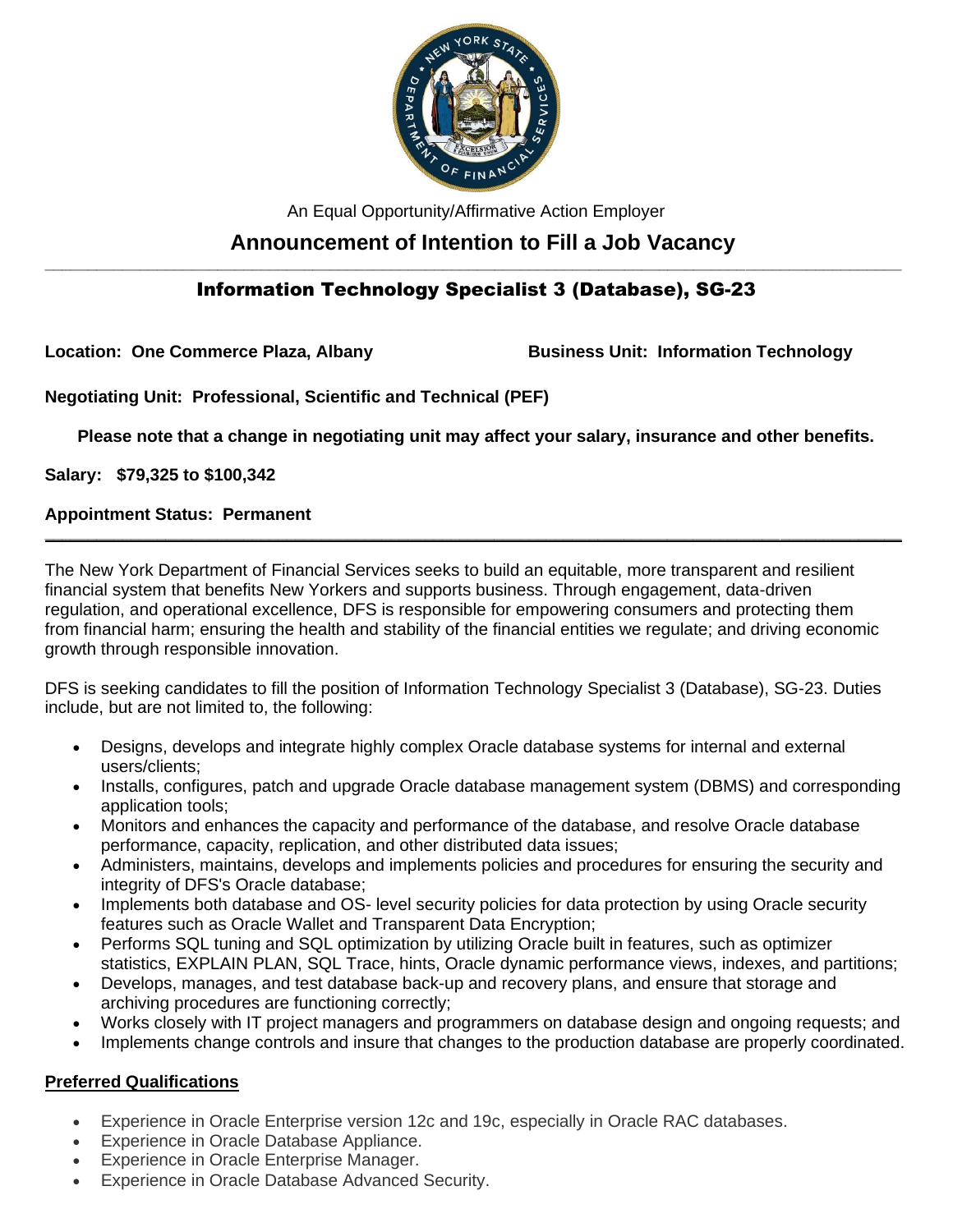

An Equal Opportunity/Affirmative Action Employer

# **Announcement of Intention to Fill a Job Vacancy**

# **\_\_\_\_\_\_\_\_\_\_\_\_\_\_\_\_\_\_\_\_\_\_\_\_\_\_\_\_\_\_\_\_\_\_\_\_\_\_\_\_\_\_\_\_\_\_\_\_\_\_\_\_\_\_\_\_\_\_\_\_\_\_\_\_\_\_\_\_\_\_\_\_\_\_\_\_\_\_\_\_\_\_\_\_\_\_\_\_\_\_\_\_\_\_\_\_\_\_\_** Information Technology Specialist 3 (Database), SG-23

**Location: One Commerce Plaza, Albany Business Unit: Information Technology**

**Negotiating Unit: Professional, Scientific and Technical (PEF)**

**Please note that a change in negotiating unit may affect your salary, insurance and other benefits.**

**\_\_\_\_\_\_\_\_\_\_\_\_\_\_\_\_\_\_\_\_\_\_\_\_\_\_\_\_\_\_\_\_\_\_\_\_\_\_\_\_\_\_\_\_\_\_\_\_\_\_\_\_\_\_\_\_\_\_\_\_\_\_\_\_\_\_\_\_\_\_\_\_\_\_\_\_\_\_\_\_\_\_\_\_\_\_\_\_\_\_\_\_\_\_\_\_\_\_\_**

**Salary: \$79,325 to \$100,342** 

### **Appointment Status: Permanent**

The New York Department of Financial Services seeks to build an equitable, more transparent and resilient financial system that benefits New Yorkers and supports business. Through engagement, data-driven regulation, and operational excellence, DFS is responsible for empowering consumers and protecting them from financial harm; ensuring the health and stability of the financial entities we regulate; and driving economic growth through responsible innovation.

DFS is seeking candidates to fill the position of Information Technology Specialist 3 (Database), SG-23. Duties include, but are not limited to, the following:

- Designs, develops and integrate highly complex Oracle database systems for internal and external users/clients;
- Installs, configures, patch and upgrade Oracle database management system (DBMS) and corresponding application tools;
- Monitors and enhances the capacity and performance of the database, and resolve Oracle database performance, capacity, replication, and other distributed data issues;
- Administers, maintains, develops and implements policies and procedures for ensuring the security and integrity of DFS's Oracle database;
- Implements both database and OS- level security policies for data protection by using Oracle security features such as Oracle Wallet and Transparent Data Encryption;
- Performs SQL tuning and SQL optimization by utilizing Oracle built in features, such as optimizer statistics, EXPLAIN PLAN, SQL Trace, hints, Oracle dynamic performance views, indexes, and partitions;
- Develops, manages, and test database back-up and recovery plans, and ensure that storage and archiving procedures are functioning correctly;
- Works closely with IT project managers and programmers on database design and ongoing requests; and
- Implements change controls and insure that changes to the production database are properly coordinated.

## **Preferred Qualifications**

- Experience in Oracle Enterprise version 12c and 19c, especially in Oracle RAC databases.
- Experience in Oracle Database Appliance.
- Experience in Oracle Enterprise Manager.
- Experience in Oracle Database Advanced Security.